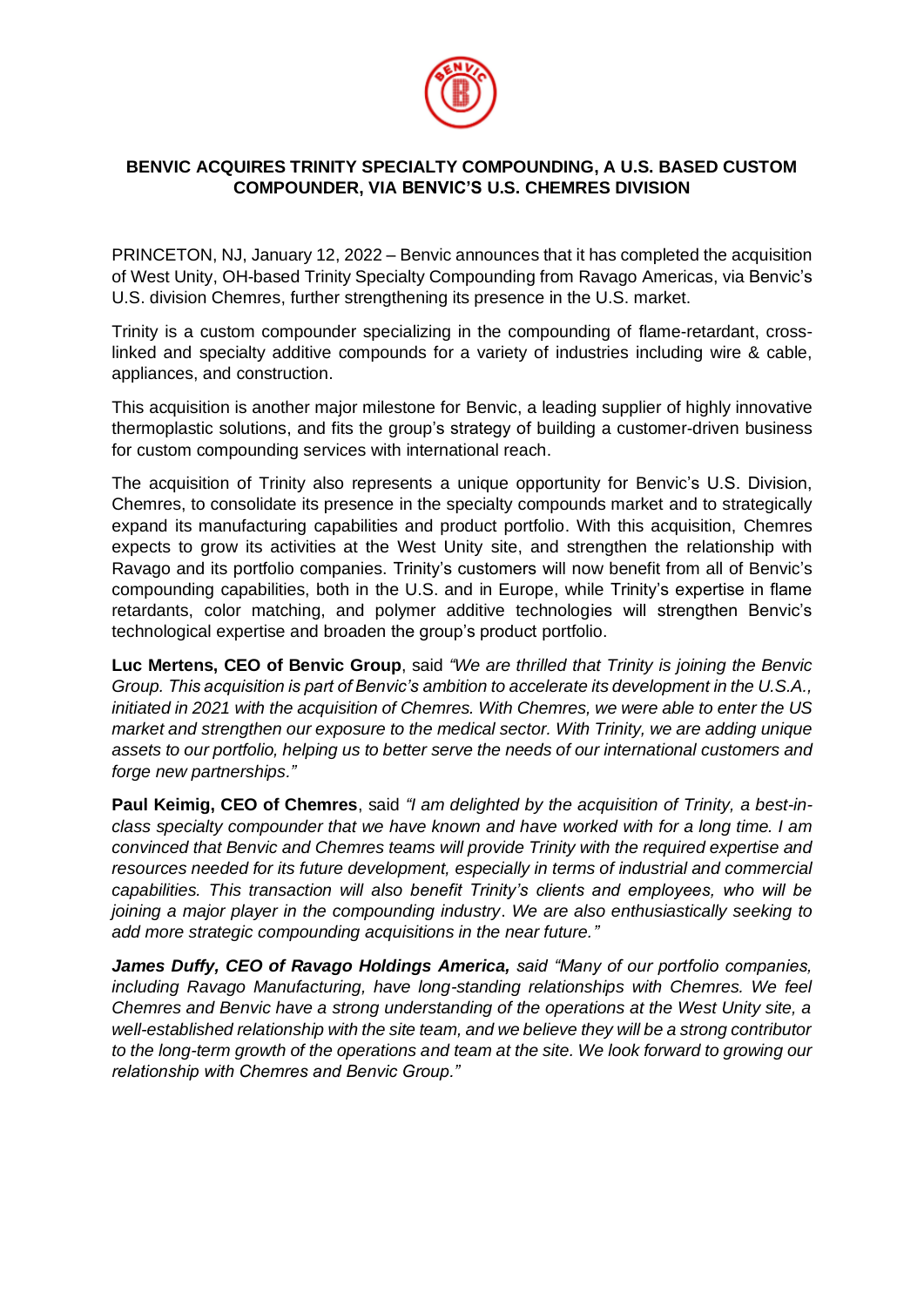

## **BENVIC ACQUIRES TRINITY SPECIALTY COMPOUNDING, A U.S. BASED CUSTOM COMPOUNDER, VIA BENVIC'S U.S. CHEMRES DIVISION**

PRINCETON, NJ, January 12, 2022 *–* Benvic announces that it has completed the acquisition of West Unity, OH-based Trinity Specialty Compounding from Ravago Americas, via Benvic's U.S. division Chemres, further strengthening its presence in the U.S. market.

Trinity is a custom compounder specializing in the compounding of flame-retardant, crosslinked and specialty additive compounds for a variety of industries including wire & cable, appliances, and construction.

This acquisition is another major milestone for Benvic, a leading supplier of highly innovative thermoplastic solutions, and fits the group's strategy of building a customer-driven business for custom compounding services with international reach.

The acquisition of Trinity also represents a unique opportunity for Benvic's U.S. Division, Chemres, to consolidate its presence in the specialty compounds market and to strategically expand its manufacturing capabilities and product portfolio. With this acquisition, Chemres expects to grow its activities at the West Unity site, and strengthen the relationship with Ravago and its portfolio companies. Trinity's customers will now benefit from all of Benvic's compounding capabilities, both in the U.S. and in Europe, while Trinity's expertise in flame retardants, color matching, and polymer additive technologies will strengthen Benvic's technological expertise and broaden the group's product portfolio.

**Luc Mertens, CEO of Benvic Group**, said *"We are thrilled that Trinity is joining the Benvic Group. This acquisition is part of Benvic's ambition to accelerate its development in the U.S.A., initiated in 2021 with the acquisition of Chemres. With Chemres, we were able to enter the US market and strengthen our exposure to the medical sector. With Trinity, we are adding unique assets to our portfolio, helping us to better serve the needs of our international customers and forge new partnerships."*

**Paul Keimig, CEO of Chemres**, said *"I am delighted by the acquisition of Trinity, a best-inclass specialty compounder that we have known and have worked with for a long time. I am convinced that Benvic and Chemres teams will provide Trinity with the required expertise and resources needed for its future development, especially in terms of industrial and commercial capabilities. This transaction will also benefit Trinity's clients and employees, who will be joining a major player in the compounding industry*. *We are also enthusiastically seeking to add more strategic compounding acquisitions in the near future."*

*James Duffy, CEO of Ravago Holdings America, said "Many of our portfolio companies, including Ravago Manufacturing, have long-standing relationships with Chemres. We feel Chemres and Benvic have a strong understanding of the operations at the West Unity site, a well-established relationship with the site team, and we believe they will be a strong contributor to the long-term growth of the operations and team at the site. We look forward to growing our relationship with Chemres and Benvic Group."*